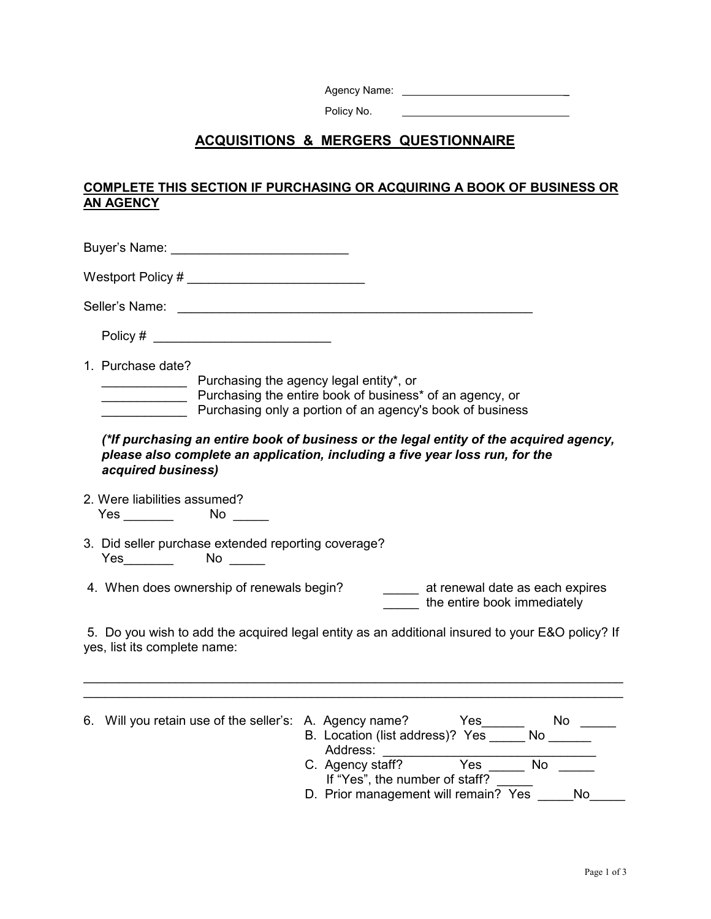| Agency Name: |  |
|--------------|--|
|              |  |

Policy No.

## **ACQUISITIONS & MERGERS QUESTIONNAIRE**

## **COMPLETE THIS SECTION IF PURCHASING OR ACQUIRING A BOOK OF BUSINESS OR AN AGENCY**

| Buyer's Name: ______________________________                                                                                                                                                                                            |
|-----------------------------------------------------------------------------------------------------------------------------------------------------------------------------------------------------------------------------------------|
|                                                                                                                                                                                                                                         |
|                                                                                                                                                                                                                                         |
| Policy # ______________________________                                                                                                                                                                                                 |
| 1. Purchase date?<br>Purchasing the agency legal entity*, or<br>Purchasing the entire book of business* of an agency, or<br>Purchasing only a portion of an agency's book of business                                                   |
| (*If purchasing an entire book of business or the legal entity of the acquired agency,<br>please also complete an application, including a five year loss run, for the<br>acquired business)                                            |
| 2. Were liabilities assumed?                                                                                                                                                                                                            |
| 3. Did seller purchase extended reporting coverage?<br>Yes_________  No _____                                                                                                                                                           |
| 4. When does ownership of renewals begin? __________ at renewal date as each expires<br>the entire book immediately                                                                                                                     |
| 5. Do you wish to add the acquired legal entity as an additional insured to your E&O policy? If<br>yes, list its complete name:                                                                                                         |
|                                                                                                                                                                                                                                         |
| 6. Will you retain use of the seller's: A. Agency name? Yes _______ No _________<br>B. Location (list address)? Yes ______ No _______<br>No $\frac{1}{\sqrt{1-\frac{1}{2}}\sqrt{1-\frac{1}{2}}\left( \frac{1}{2}+1\right)}$<br>Address: |

If "Yes", the number of staff? D. Prior management will remain? Yes \_\_\_\_\_No\_\_\_\_\_

C. Agency staff? Yes \_\_\_\_\_\_ No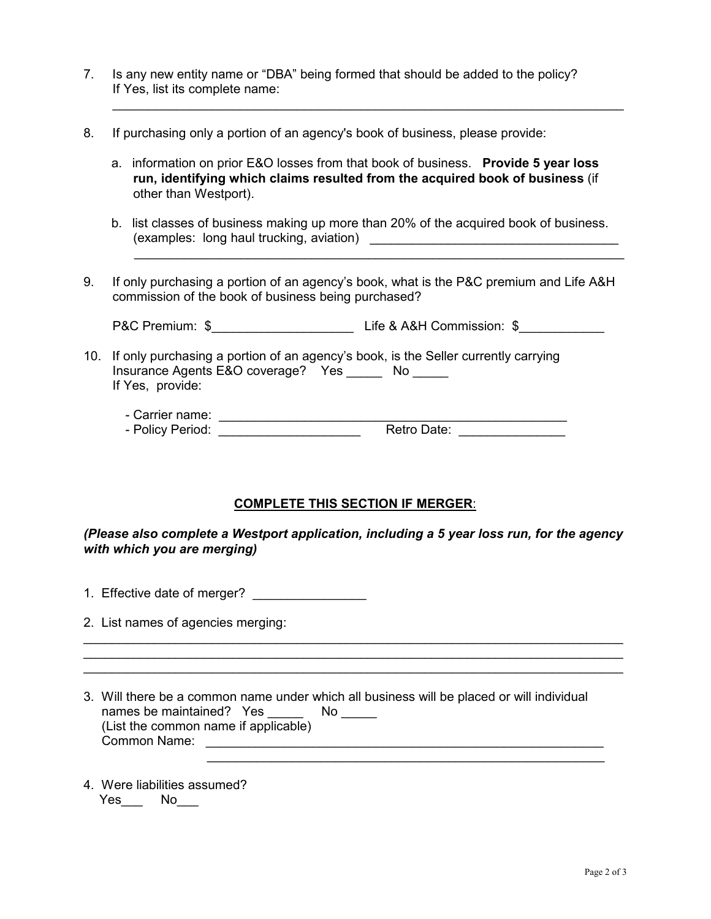- 7. Is any new entity name or "DBA" being formed that should be added to the policy? If Yes, list its complete name:
- 8. If purchasing only a portion of an agency's book of business, please provide:
	- a. information on prior E&O losses from that book of business. **Provide 5 year loss run, identifying which claims resulted from the acquired book of business** (if other than Westport).

 $\mathcal{L}=\frac{1}{2}$  , which is a set of the set of the set of the set of the set of the set of the set of the set of the set of the set of the set of the set of the set of the set of the set of the set of the set of the set o

- b. list classes of business making up more than 20% of the acquired book of business. (examples: long haul trucking, aviation) \_\_\_\_\_\_\_\_\_\_\_\_\_\_\_\_\_\_\_\_\_\_\_\_\_\_\_\_\_\_\_\_\_\_\_
- 9. If only purchasing a portion of an agency's book, what is the P&C premium and Life A&H commission of the book of business being purchased?

\_\_\_\_\_\_\_\_\_\_\_\_\_\_\_\_\_\_\_\_\_\_\_\_\_\_\_\_\_\_\_\_\_\_\_\_\_\_\_\_\_\_\_\_\_\_\_\_\_\_\_\_\_\_\_\_\_\_\_\_\_\_\_\_\_\_\_\_\_

P&C Premium: \$  $Life & A&H$  Commission: \$

- 10. If only purchasing a portion of an agency's book, is the Seller currently carrying Insurance Agents E&O coverage? Yes \_\_\_\_\_ No \_\_\_\_\_ If Yes, provide:
	- Carrier name: \_\_\_\_\_\_\_\_\_\_\_\_\_\_\_\_\_\_\_\_\_\_\_\_\_\_\_\_\_\_\_\_\_\_\_\_\_\_\_\_\_\_\_\_\_\_\_\_\_ - Policy Period: \_\_\_\_\_\_\_\_\_\_\_\_\_\_\_\_\_\_\_\_ Retro Date: \_\_\_\_\_\_\_\_\_\_\_\_\_\_\_

## **COMPLETE THIS SECTION IF MERGER**:

## *(Please also complete a Westport application, including a 5 year loss run, for the agency with which you are merging)*

 $\frac{1}{2}$  ,  $\frac{1}{2}$  ,  $\frac{1}{2}$  ,  $\frac{1}{2}$  ,  $\frac{1}{2}$  ,  $\frac{1}{2}$  ,  $\frac{1}{2}$  ,  $\frac{1}{2}$  ,  $\frac{1}{2}$  ,  $\frac{1}{2}$  ,  $\frac{1}{2}$  ,  $\frac{1}{2}$  ,  $\frac{1}{2}$  ,  $\frac{1}{2}$  ,  $\frac{1}{2}$  ,  $\frac{1}{2}$  ,  $\frac{1}{2}$  ,  $\frac{1}{2}$  ,  $\frac{1$ \_\_\_\_\_\_\_\_\_\_\_\_\_\_\_\_\_\_\_\_\_\_\_\_\_\_\_\_\_\_\_\_\_\_\_\_\_\_\_\_\_\_\_\_\_\_\_\_\_\_\_\_\_\_\_\_\_\_\_\_\_\_\_\_\_\_\_\_\_\_\_\_\_\_\_\_ \_\_\_\_\_\_\_\_\_\_\_\_\_\_\_\_\_\_\_\_\_\_\_\_\_\_\_\_\_\_\_\_\_\_\_\_\_\_\_\_\_\_\_\_\_\_\_\_\_\_\_\_\_\_\_\_\_\_\_\_\_\_\_\_\_\_\_\_\_\_\_\_\_\_\_\_

 $\frac{1}{2}$  ,  $\frac{1}{2}$  ,  $\frac{1}{2}$  ,  $\frac{1}{2}$  ,  $\frac{1}{2}$  ,  $\frac{1}{2}$  ,  $\frac{1}{2}$  ,  $\frac{1}{2}$  ,  $\frac{1}{2}$  ,  $\frac{1}{2}$  ,  $\frac{1}{2}$  ,  $\frac{1}{2}$  ,  $\frac{1}{2}$  ,  $\frac{1}{2}$  ,  $\frac{1}{2}$  ,  $\frac{1}{2}$  ,  $\frac{1}{2}$  ,  $\frac{1}{2}$  ,  $\frac{1$ 

- 1. Effective date of merger? \_\_\_\_\_\_\_\_\_\_\_\_\_\_\_\_
- 2. List names of agencies merging:
- 3. Will there be a common name under which all business will be placed or will individual names be maintained? Yes \_\_\_\_\_\_ No \_\_\_\_\_ (List the common name if applicable) Common Name: \_\_\_\_\_\_\_\_\_\_\_\_\_\_\_\_\_\_\_\_\_\_\_\_\_\_\_\_\_\_\_\_\_\_\_\_\_\_\_\_\_\_\_\_\_\_\_\_\_\_\_\_\_\_\_\_
- 4. Were liabilities assumed? Yes No